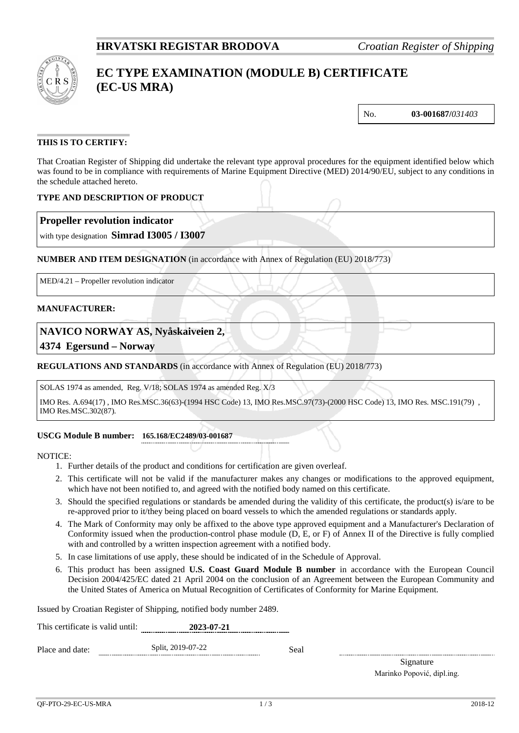

# **EC TYPE EXAMINATION (MODULE B) CERTIFICATE (EC-US MRA)**

No. **03-001687/***031403*

### **THIS IS TO CERTIFY:**

That Croatian Register of Shipping did undertake the relevant type approval procedures for the equipment identified below which was found to be in compliance with requirements of Marine Equipment Directive (MED) 2014/90/EU, subject to any conditions in the schedule attached hereto.

### **TYPE AND DESCRIPTION OF PRODUCT**

### **Propeller revolution indicator**

with type designation **Simrad I3005 / I3007**

### **NUMBER AND ITEM DESIGNATION** (in accordance with Annex of Regulation (EU) 2018/773)

MED/4.21 – Propeller revolution indicator

### **MANUFACTURER:**

### **NAVICO NORWAY AS, Nyåskaiveien 2,**

**4374 Egersund – Norway**

### **REGULATIONS AND STANDARDS** (in accordance with Annex of Regulation (EU) 2018/773)

SOLAS 1974 as amended, Reg. V/18; SOLAS 1974 as amended Reg. X/3

IMO Res. A.694(17) , IMO Res.MSC.36(63)-(1994 HSC Code) 13, IMO Res.MSC.97(73)-(2000 HSC Code) 13, IMO Res. MSC.191(79) , IMO Res.MSC.302(87).

### **USCG Module B number: 165.168/EC2489/03-001687**

NOTICE:

- 1. Further details of the product and conditions for certification are given overleaf.
- 2. This certificate will not be valid if the manufacturer makes any changes or modifications to the approved equipment, which have not been notified to, and agreed with the notified body named on this certificate.
- 3. Should the specified regulations or standards be amended during the validity of this certificate, the product(s) is/are to be re-approved prior to it/they being placed on board vessels to which the amended regulations or standards apply.
- 4. The Mark of Conformity may only be affixed to the above type approved equipment and a Manufacturer's Declaration of Conformity issued when the production-control phase module (D, E, or F) of Annex II of the Directive is fully complied with and controlled by a written inspection agreement with a notified body.
- 5. In case limitations of use apply, these should be indicated of in the Schedule of Approval.
- 6. This product has been assigned **U.S. Coast Guard Module B number** in accordance with the European Council Decision 2004/425/EC dated 21 April 2004 on the conclusion of an Agreement between the European Community and the United States of America on Mutual Recognition of Certificates of Conformity for Marine Equipment.

Issued by Croatian Register of Shipping, notified body number 2489.

| This certificate is valid until: | 2023-07-21        |      |
|----------------------------------|-------------------|------|
| Place and date:                  | Split, 2019-07-22 | Seal |

Signature Marinko Popović, dipl.ing.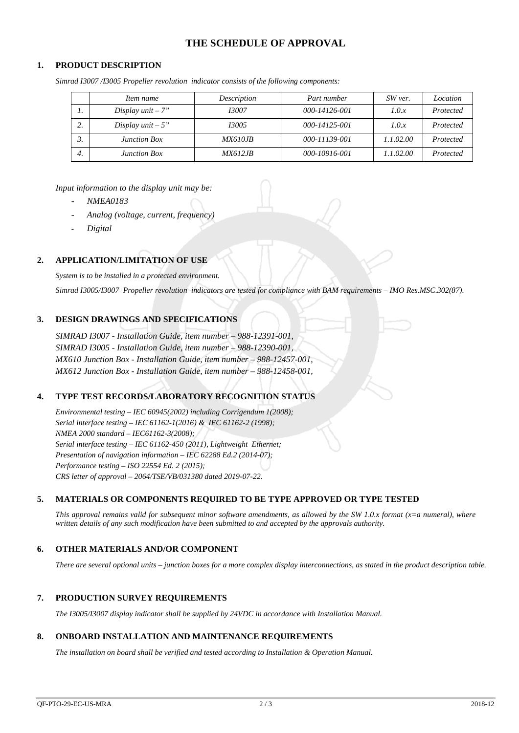# **THE SCHEDULE OF APPROVAL**

#### **1. PRODUCT DESCRIPTION**

| Simrad I3007/I3005 Propeller revolution indicator consists of the following components: |  |  |
|-----------------------------------------------------------------------------------------|--|--|
|                                                                                         |  |  |
|                                                                                         |  |  |

|    | Item name           | Description     | Part number   | SW ver.   | Location  |
|----|---------------------|-----------------|---------------|-----------|-----------|
|    | Display unit $-7"$  | <i>13007</i>    | 000-14126-001 | 1.0.x     | Protected |
| ,. | Display unit $-5$ " | <i>I3005</i>    | 000-14125-001 | 1.0.x     | Protected |
|    | <b>Junction Box</b> | <i>MX610JB</i>  | 000-11139-001 | 1.1.02.00 | Protected |
| 4. | <b>Junction Box</b> | <i>MX612.IB</i> | 000-10916-001 | 1.1.02.00 | Protected |

*Input information to the display unit may be:*

- *NMEA0183*
- *Analog (voltage, current, frequency)*
- *Digital*

### **2. APPLICATION/LIMITATION OF USE**

*System is to be installed in a protected environment. Simrad I3005/I3007 Propeller revolution indicators are tested for compliance with BAM requirements – IMO Res.MSC.302(87).*

### **3. DESIGN DRAWINGS AND SPECIFICATIONS**

*SIMRAD I3007 - Installation Guide, item number – 988-12391-001, SIMRAD I3005 - Installation Guide, item number – 988-12390-001, MX610 Junction Box - Installation Guide, item number – 988-12457-001, MX612 Junction Box - Installation Guide, item number – 988-12458-001,*

### **4. TYPE TEST RECORDS/LABORATORY RECOGNITION STATUS**

*Environmental testing – IEC 60945(2002) including Corrigendum 1(2008); Serial interface testing – IEC 61162-1(2016) & IEC 61162-2 (1998); NMEA 2000 standard – IEC61162-3(2008); Serial interface testing – IEC 61162-450 (2011), Lightweight Ethernet; Presentation of navigation information – IEC 62288 Ed.2 (2014-07); Performance testing – ISO 22554 Ed. 2 (2015); CRS letter of approval – 2064/TSE/VB/031380 dated 2019-07-22.*

#### **5. MATERIALS OR COMPONENTS REQUIRED TO BE TYPE APPROVED OR TYPE TESTED**

*This approval remains valid for subsequent minor software amendments, as allowed by the SW 1.0.x format (x=a numeral), where written details of any such modification have been submitted to and accepted by the approvals authority.*

### **6. OTHER MATERIALS AND/OR COMPONENT**

*There are several optional units – junction boxes for a more complex display interconnections, as stated in the product description table.* 

#### **7. PRODUCTION SURVEY REQUIREMENTS**

*The I3005/I3007 display indicator shall be supplied by 24VDC in accordance with Installation Manual.*

#### **8. ONBOARD INSTALLATION AND MAINTENANCE REQUIREMENTS**

*The installation on board shall be verified and tested according to Installation & Operation Manual.*